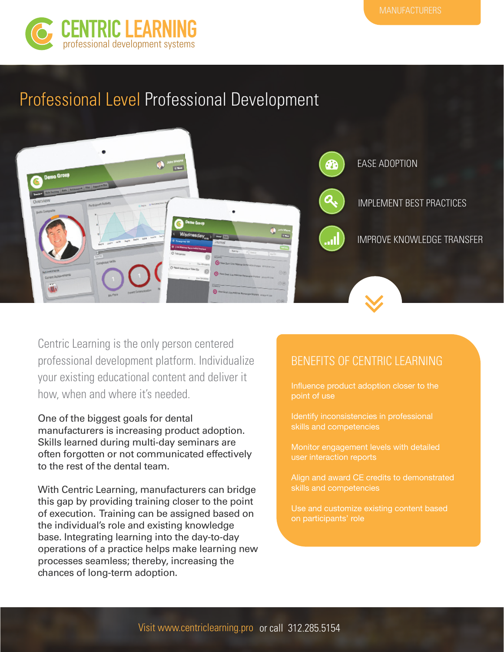

## Professional Level Professional Development



Centric Learning is the only person centered professional development platform. Individualize your existing educational content and deliver it how, when and where it's needed.

One of the biggest goals for dental manufacturers is increasing product adoption. Skills learned during multi-day seminars are often forgotten or not communicated effectively to the rest of the dental team.

With Centric Learning, manufacturers can bridge this gap by providing training closer to the point of execution. Training can be assigned based on the individual's role and existing knowledge base. Integrating learning into the day-to-day operations of a practice helps make learning new processes seamless; thereby, increasing the chances of long-term adoption.

### BENEFITS OF CENTRIC LEARNING

Influence product adoption closer to the point of use

Identify inconsistencies in professional skills and competencies

Monitor engagement levels with detailed user interaction reports

Align and award CE credits to demonstrated skills and competencies

Use and customize existing content based on participants' role